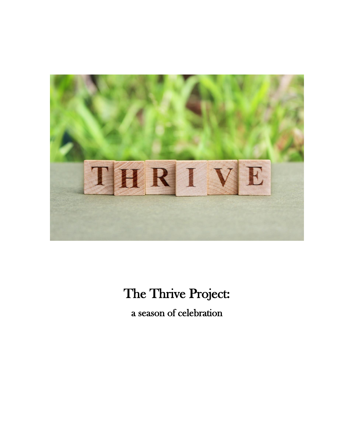

## The Thrive Project:

a season of celebration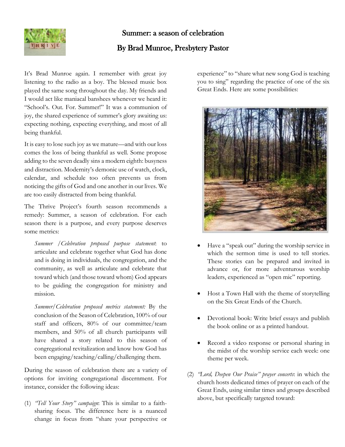

## Summer: a season of celebration

#### By Brad Munroe, Presbytery Pastor

It's Brad Munroe again. I remember with great joy listening to the radio as a boy. The blessed music box played the same song throughout the day. My friends and I would act like maniacal banshees whenever we heard it: "School's. Out. For. Summer!" It was a communion of joy, the shared experience of summer's glory awaiting us: expecting nothing, expecting everything, and most of all being thankful.

It is easy to lose such joy as we mature—and with our loss comes the loss of being thankful as well. Some propose adding to the seven deadly sins a modern eighth: busyness and distraction. Modernity's demonic use of watch, clock, calendar, and schedule too often prevents us from noticing the gifts of God and one another in our lives. We are too easily distracted from being thankful.

The Thrive Project's fourth season recommends a remedy: Summer, a season of celebration. For each season there is a purpose, and every purpose deserves some metrics:

*Summer /Celebration proposed purpose statement*: to articulate and celebrate together what God has done and is doing in individuals, the congregation, and the community, as well as articulate and celebrate that toward which (and those toward whom) God appears to be guiding the congregation for ministry and mission.

*Summer/Celebration proposed metrics statement:* By the conclusion of the Season of Celebration, 100% of our staff and officers, 80% of our committee/team members, and 50% of all church participants will have shared a story related to this season of congregational revitalization and know how God has been engaging/teaching/calling/challenging them.

During the season of celebration there are a variety of options for inviting congregational discernment. For instance, consider the following ideas:

(1) *"Tell Your Story" campaign*: This is similar to a faithsharing focus. The difference here is a nuanced change in focus from "share your perspective or experience" to "share what new song God is teaching you to sing" regarding the practice of one of the six Great Ends. Here are some possibilities:



- Have a "speak out" during the worship service in which the sermon time is used to tell stories. These stories can be prepared and invited in advance or, for more adventurous worship leaders, experienced as "open mic" reporting.
- Host a Town Hall with the theme of storytelling on the Six Great Ends of the Church.
- Devotional book: Write brief essays and publish the book online or as a printed handout.
- Record a video response or personal sharing in the midst of the worship service each week: one theme per week.
- (2) *"Lord, Deepen Our Praise" prayer concerts*: in which the church hosts dedicated times of prayer on each of the Great Ends, using similar times and groups described above, but specifically targeted toward: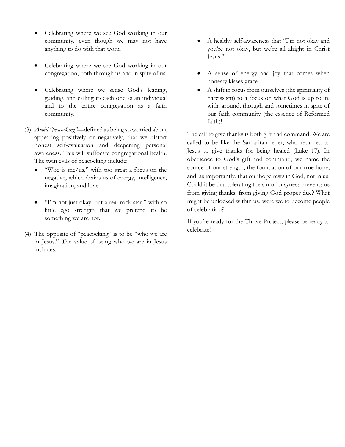- Celebrating where we see God working in our community, even though we may not have anything to do with that work.
- Celebrating where we see God working in our congregation, both through us and in spite of us.
- Celebrating where we sense God's leading, guiding, and calling to each one as an individual and to the entire congregation as a faith community.
- (3) *Avoid "peacocking"*—defined as being so worried about appearing positively or negatively, that we distort honest self-evaluation and deepening personal awareness. This will suffocate congregational health. The twin evils of peacocking include:
	- "Woe is me/us," with too great a focus on the negative, which drains us of energy, intelligence, imagination, and love.
	- "I'm not just okay, but a real rock star," with so little ego strength that we pretend to be something we are not.
- (4) The opposite of "peacocking" is to be "who we are in Jesus." The value of being who we are in Jesus includes:
- A healthy self-awareness that "I'm not okay and you're not okay, but we're all alright in Christ Jesus."
- A sense of energy and joy that comes when honesty kisses grace.
- A shift in focus from ourselves (the spirituality of narcissism) to a focus on what God is up to in, with, around, through and sometimes in spite of our faith community (the essence of Reformed faith)!

The call to give thanks is both gift and command. We are called to be like the Samaritan leper, who returned to Jesus to give thanks for being healed (Luke 17). In obedience to God's gift and command, we name the source of our strength, the foundation of our true hope, and, as importantly, that our hope rests in God, not in us. Could it be that tolerating the sin of busyness prevents us from giving thanks, from giving God proper due? What might be unlocked within us, were we to become people of celebration?

If you're ready for the Thrive Project, please be ready to celebrate!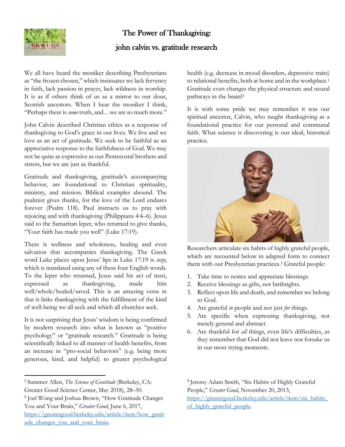

#### The Power of Thanksgiving:

#### john calvin vs. gratitude research

We all have heard the moniker describing Presbyterians as "the frozen chosen," which insinuates we lack fervency in faith, lack passion in prayer, lack wildness in worship. It is as if others think of us as a mirror to our dour, Scottish ancestors. When I hear the moniker I think, "Perhaps there is *some* truth, and…we are so much more."

John Calvin described Christian ethics as a response of thanksgiving to God's grace in our lives. We live and we love as an act of gratitude. We seek to be faithful as an appreciative response to the faithfulness of God. We may not be quite as expressive as our Pentecostal brothers and sisters, but we are just as thankful.

Gratitude and thanksgiving, gratitude's accompanying behavior, are foundational to Christian spirituality, ministry, and mission. Biblical examples abound. The psalmist gives thanks, for the love of the Lord endures forever (Psalm 118). Paul instructs us to pray with rejoicing and with thanksgiving (Philippians 4:4–6). Jesus said to the Samaritan leper, who returned to give thanks, "Your faith has made you well" (Luke 17:19).

There is wellness and wholeness, healing and even salvation that accompanies thanksgiving. The Greek word Luke places upon Jesus' lips in Luke 17:19 is *sozo*, which is translated using any of these four English words. To the leper who returned, Jesus said his act of trust, expressed as thanksgiving, made him well/whole/healed/saved. This is an amazing verse in that it links thanksgiving with the fulfillment of the kind of well-being we all seek and which all churches seek.

It is not surprising that Jesus' wisdom is being confirmed by modern research into what is known as "positive psychology" or "gratitude research." Gratitude is being scientifically linked to all manner of health benefits, from an increase in "pro-social behaviors" (e.g. being more generous, kind, and helpful) to greater psychological

<sup>1</sup> Summer Allen, *The Science of Gratitude* (Berkeley, CA: Greater Good Science Center, May 2018), 28–50.

health (e.g. decrease in mood disorders, depressive traits) to relational benefits, both at home and in the workplace.<sup>1</sup> Gratitude even changes the physical structure and neural pathways in the brain!<sup>2</sup>

It is with some pride we may remember it was our spiritual ancestor, Calvin, who taught thanksgiving as a foundational practice for our personal and communal faith. What science is discovering is our ideal, historical practice.



Researchers articulate six habits of highly grateful people, which are recounted below in adapted form to connect them with our Presbyterian practices.<sup>3</sup> Grateful people:

- 1. Take time to notice and appreciate blessings.
- 2. Receive blessings as gifts, not birthrights.
- 3. Reflect upon life and death, and remember we belong to God.
- 4. Are grateful *to* people and not just *for* things.
- 5. Are specific when expressing thanksgiving, not merely general and abstract.
- 6. Are thankful for *all* things, even life's difficulties, as they remember that God did not leave nor forsake us in our most trying moments.

3 Jeremy Adam Smith, "Six Habits of Highly Grateful People," *Greater Good*, November 20, 2013, [https://greatergood.berkeley.edu/article/item/six\\_habits\\_](https://greatergood.berkeley.edu/article/item/six_habits_of_highly_grateful_people) of highly grateful people.

<sup>2</sup> Joel Wong and Joshua Brown, "How Gratitude Changes You and Your Brain," *Greater Good*, June 6, 2017, [https://greatergood.berkeley.edu/article/item/how\\_gratit](https://greatergood.berkeley.edu/article/item/how_gratitude_changes_you_and_your_brain) ude changes you and your brain.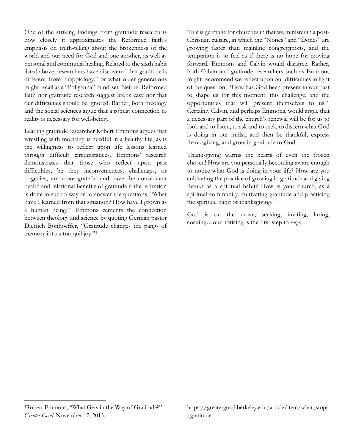One of the striking findings from gratitude research is how closely it approximates the Reformed faith's emphasis on truth-telling about the brokenness of the world and our need for God and one another, as well as personal and communal healing. Related to the sixth habit listed above, researchers have discovered that gratitude is different from "happiology," or what older generations might recall as a "Pollyanna" mind-set. Neither Reformed faith nor gratitude research suggest life is easy nor that our difficulties should be ignored. Rather, both theology and the social sciences argue that a robust connection to reality is necessary for well-being.

Leading gratitude researcher Robert Emmons argues that wrestling with mortality is needful in a healthy life, as is the willingness to reflect upon life lessons learned through difficult circumstances. Emmons' research demonstrates that those who reflect upon past difficulties, be they inconveniences, challenges, or tragedies, are more grateful and have the consequent health and relational benefits of gratitude if the reflection is done in such a way as to answer the questions, "What have I learned from that situation? How have I grown as a human being?" Emmons cements the connection between theology and science by quoting German pastor Dietrich Bonhoeffer, "Gratitude changes the pangs of memory into a tranquil joy."4

This is germane for churches in that we minister in a post-Christian culture, in which the "Nones" and "Dones" are growing faster than mainline congregations, and the temptation is to feel as if there is no hope for moving forward. Emmons and Calvin would disagree. Rather, both Calvin and gratitude researchers such as Emmons might recommend we reflect upon our difficulties in light of the question, "How has God been present in our past to shape us for this moment, this challenge, and the opportunities that will present themselves to us?" Certainly Calvin, and perhaps Emmons, would argue that a necessary part of the church's renewal will be for us to look and to listen, to ask and to seek, to discern what God is doing in our midst, and then be thankful, express thanksgiving, and grow in gratitude to God.

Thanksgiving warms the hearts of even the frozen chosen! How are you personally becoming aware enough to notice what God is doing in your life? How are you cultivating the practice of growing in gratitude and giving thanks as a spiritual habit? How is your church, as a spiritual community, cultivating gratitude and practicing the spiritual habit of thanksgiving?

God is on the move, seeking, inviting, luring, coaxing…our noticing is the first step to *sozo*.

https://greatergood.berkeley.edu/article/item/what\_stops \_gratitude.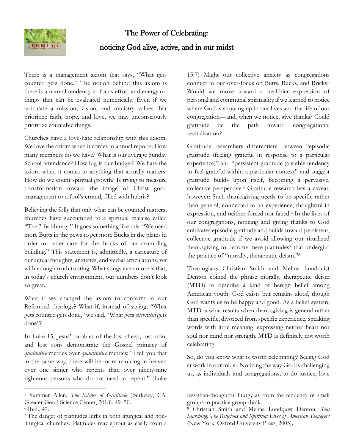## The Power of Celebrating:



### noticing God alive, active, and in our midst

There is a management axiom that says, "What gets counted gets done." The notion behind this axiom is there is a natural tendency to focus effort and energy on things that can be evaluated numerically. Even if we articulate a mission, vision, and ministry values that prioritize faith, hope, and love, we may unconsciously prioritize countable things.

Churches have a love-hate relationship with this axiom. We love the axiom when it comes to annual reports: How many members do we have? What is our average Sunday School attendance? How big is our budget? We hate the axiom when it comes to anything that actually matters: How do we count spiritual growth? Is trying to measure transformation toward the image of Christ good management or a fool's errand, filled with hubris?

Believing the folly that only what can be counted matters, churches have succumbed to a spiritual malaise called "The 3 Bs Heresy." It goes something like this: "We need more Butts in the pews to get more Bucks in the plates in order to better care for the Bricks of our crumbling building." This statement is, admittedly, a caricature of our actual thoughts, anxieties, and verbal articulations, yet with enough truth to sting. What stings even more is that, in today's church environment, our numbers don't look so great.

What if we changed the axiom to conform to our Reformed theology? What if, instead of saying, "What gets counted gets done," we said, "What gets *celebrated* gets done"?

In Luke 15, Jesus' parables of the lost sheep, lost coin, and lost sons demonstrate the Gospel primacy of *qualitative* metrics over *quantitative* metrics: "I tell you that in the same way, there will be more rejoicing in heaven over one sinner who repents than over ninety-nine righteous persons who do not need to repent." (Luke

15:7) Might our collective anxiety as congregations connect to our over-focus on Butts, Bucks, and Bricks? Would we move toward a healthier expression of personal and communal spirituality if we learned to notice where God is showing up in our lives and the life of our congregation—and, when we notice, give thanks? Could gratitude be the path toward congregational revitalization?

Gratitude researchers differentiate between "episodic gratitude (feeling grateful in response to a particular experience)" and "persistent gratitude (a stable tendency to feel grateful within a particular context" and suggest gratitude builds upon itself, becoming a pervasive, collective perspective.<sup>5</sup> Gratitude research has a caveat, however: Such thanksgiving needs to be specific rather than general, connected to an experience, thoughtful in expression, and neither forced nor faked.<sup>6</sup> In the lives of our congregations, noticing and giving thanks to God cultivates episodic gratitude and builds toward persistent, collective gratitude if we avoid allowing our ritualized thanksgiving to become mere platitudes<sup>7</sup> that undergird the practice of "morally, therapeutic deism."<sup>8</sup>

Theologians Christian Smith and Melina Lundquist Denton coined the phrase morally, therapeutic deism (MTD) to describe a kind of benign belief among American youth: God exists but remains aloof, though God wants us to be happy and good. As a belief system, MTD is what results when thanksgiving is general rather than specific, divorced from specific experience, speaking words with little meaning, expressing neither heart nor soul nor mind nor strength. MTD is definitely not worth celebrating.

So, do you know what is worth celebrating? Seeing God at work in our midst. Noticing the way God is challenging us, as individuals and congregations, to do justice, love

<sup>5</sup> Summer Allen, *The Science of Gratitude* (Berkeley, CA: Greater Good Science Center, 2018), 49–50.

<sup>6</sup> Ibid., 47.

<sup>7</sup> The danger of platitudes lurks in both liturgical and nonliturgical churches. Platitudes may sprout as easily from a

less-than-thoughtful liturgy as from the tendency of small groups to practice group-think.

<sup>8</sup> Christian Smith and Melina Lundquist Denton, *Soul Searching: The Religious and Spiritual Lives of American Teenagers* (New York: Oxford University Press, 2005).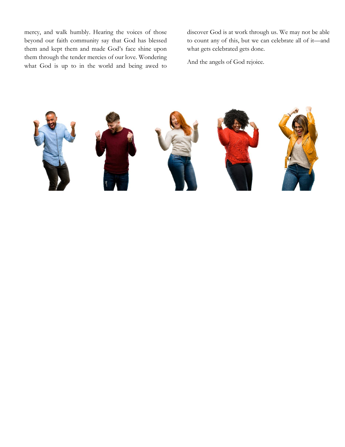mercy, and walk humbly. Hearing the voices of those beyond our faith community say that God has blessed them and kept them and made God's face shine upon them through the tender mercies of our love. Wondering what God is up to in the world and being awed to

discover God is at work through us. We may not be able to count any of this, but we can celebrate all of it—and what gets celebrated gets done.

And the angels of God rejoice.

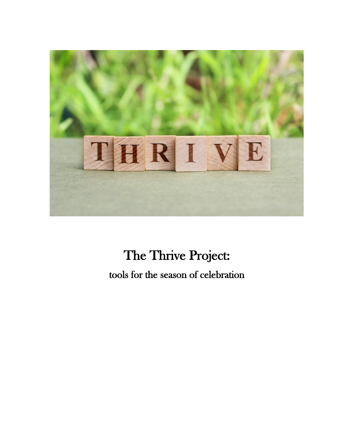

# The Thrive Project: tools for the season of celebration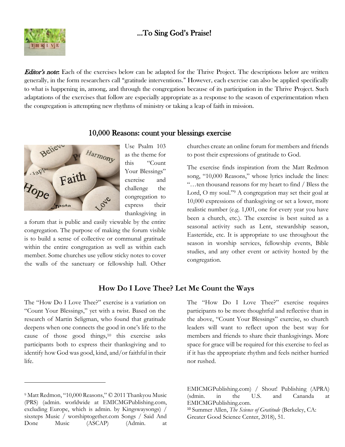## …To Sing God's Praise!



**Editor's note:** Each of the exercises below can be adapted for the Thrive Project. The descriptions below are written generally, in the form researchers call "gratitude interventions." However, each exercise can also be applied specifically to what is happening in, among, and through the congregation because of its participation in the Thrive Project. Such adaptations of the exercises that follow are especially appropriate as a response to the season of experimentation when the congregation is attempting new rhythms of ministry or taking a leap of faith in mission.



Use Psalm 103 as the theme for this "Count Your Blessings" exercise and challenge the congregation to express their thanksgiving in

a forum that is public and easily viewable by the entire congregation. The purpose of making the forum visible is to build a sense of collective or communal gratitude within the entire congregation as well as within each member. Some churches use yellow sticky notes to cover the walls of the sanctuary or fellowship hall. Other

## 10,000 Reasons: count your blessings exercise

churches create an online forum for members and friends to post their expressions of gratitude to God.

The exercise finds inspiration from the Matt Redmon song, "10,000 Reasons," whose lyrics include the lines: "…ten thousand reasons for my heart to find / Bless the Lord, O my soul."<sup>9</sup> A congregation may set their goal at 10,000 expressions of thanksgiving or set a lower, more realistic number (e.g. 1,001, one for every year you have been a church, etc.). The exercise is best suited as a seasonal activity such as Lent, stewardship season, Eastertide, etc. It is appropriate to use throughout the season in worship services, fellowship events, Bible studies, and any other event or activity hosted by the congregation.

#### **How Do I Love Thee? Let Me Count the Ways**

The "How Do I Love Thee?" exercise is a variation on "Count Your Blessings," yet with a twist. Based on the research of Martin Seligman, who found that gratitude deepens when one connects the good in one's life to the cause of those good things,<sup>10</sup> this exercise asks participants both to express their thanksgiving and to identify how God was good, kind, and/or faithful in their life.

The "How Do I Love Thee?" exercise requires participants to be more thoughtful and reflective than in the above, "Count Your Blessings" exercise, so church leaders will want to reflect upon the best way for members and friends to share their thanksgivings. More space for grace will be required for this exercise to feel as if it has the appropriate rhythm and feels neither hurried nor rushed.

<sup>9</sup> Matt Redmon, "10,000 Reasons," © 2011 Thankyou Music (PRS) (admin. worldwide at EMICMGPublishing.com, excluding Europe, which is admin. by Kingswaysongs) / sixsteps Music / worshiptogether.com Songs / Said And Done Music (ASCAP) (Admin. at

EMICMGPublishing.com) / Shout! Publishing (APRA) (sdmin. in the U.S. and Cananda at EMICMGPublishing.com.

<sup>10</sup> Summer Allen, *The Science of Gratitude* (Berkeley, CA: Greater Good Science Center, 2018), 51.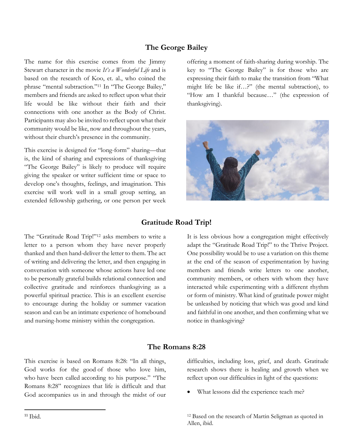#### **The George Bailey**

The name for this exercise comes from the Jimmy Stewart character in the movie *It's a Wonderful Life* and is based on the research of Koo, et. al., who coined the phrase "mental subtraction."<sup>11</sup> In "The George Bailey," members and friends are asked to reflect upon what their life would be like without their faith and their connections with one another as the Body of Christ. Participants may also be invited to reflect upon what their community would be like, now and throughout the years, without their church's presence in the community.

This exercise is designed for "long-form" sharing—that is, the kind of sharing and expressions of thanksgiving "The George Bailey" is likely to produce will require giving the speaker or writer sufficient time or space to develop one's thoughts, feelings, and imagination. This exercise will work well in a small group setting, an extended fellowship gathering, or one person per week

offering a moment of faith-sharing during worship. The key to "The George Bailey" is for those who are expressing their faith to make the transition from "What might life be like if…?" (the mental subtraction), to "How am I thankful because…" (the expression of thanksgiving).



#### **Gratitude Road Trip!**

The "Gratitude Road Trip!"<sup>12</sup> asks members to write a letter to a person whom they have never properly thanked and then hand-deliver the letter to them. The act of writing and delivering the letter, and then engaging in conversation with someone whose actions have led one to be personally grateful builds relational connection and collective gratitude and reinforces thanksgiving as a powerful spiritual practice. This is an excellent exercise to encourage during the holiday or summer vacation season and can be an intimate experience of homebound and nursing-home ministry within the congregation.

It is less obvious how a congregation might effectively adapt the "Gratitude Road Trip!" to the Thrive Project. One possibility would be to use a variation on this theme at the end of the season of experimentation by having members and friends write letters to one another, community members, or others with whom they have interacted while experimenting with a different rhythm or form of ministry. What kind of gratitude power might be unleashed by noticing that which was good and kind and faithful in one another, and then confirming what we notice in thanksgiving?

#### **The Romans 8:28**

This exercise is based on Romans 8:28: "In all things, God works for the good of those who love him, who have been called according to his purpose." "The Romans 8:28" recognizes that life is difficult and that God accompanies us in and through the midst of our difficulties, including loss, grief, and death. Gratitude research shows there is healing and growth when we reflect upon our difficulties in light of the questions:

What lessons did the experience teach me?

<sup>12</sup> Based on the research of Martin Seligman as quoted in Allen, ibid.

 $11$  Ibid.